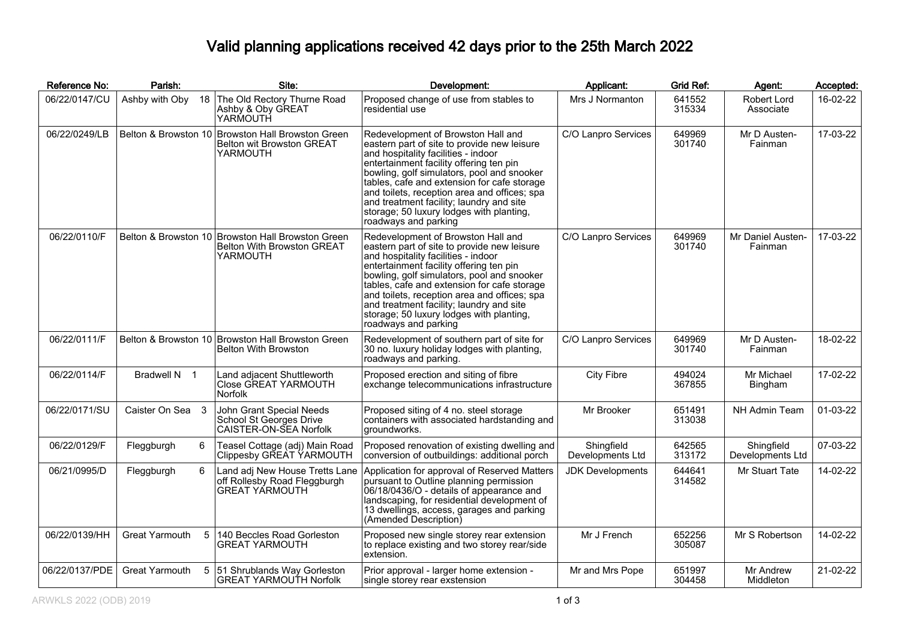## Valid planning applications received 42 days prior to the 25th March 2022

| Reference No:  | Parish:                                  | Site:                                                                                              | Development:                                                                                                                                                                                                                                                                                                                                                                                                                     | Applicant:                     | <b>Grid Ref:</b> | Agent:                         | Accepted: |
|----------------|------------------------------------------|----------------------------------------------------------------------------------------------------|----------------------------------------------------------------------------------------------------------------------------------------------------------------------------------------------------------------------------------------------------------------------------------------------------------------------------------------------------------------------------------------------------------------------------------|--------------------------------|------------------|--------------------------------|-----------|
| 06/22/0147/CU  | Ashby with Oby                           | 18 The Old Rectory Thurne Road<br>Ashby & Oby GREAT<br>YARMOUTH                                    | Proposed change of use from stables to<br>residential use                                                                                                                                                                                                                                                                                                                                                                        | Mrs J Normanton                | 641552<br>315334 | Robert Lord<br>Associate       | 16-02-22  |
| 06/22/0249/LB  |                                          | Belton & Browston 10 Browston Hall Browston Green<br>Belton wit Browston GREAT<br>YARMOUTH         | Redevelopment of Browston Hall and<br>eastern part of site to provide new leisure<br>and hospitality facilities - indoor<br>entertainment facility offering ten pin<br>bowling, golf simulators, pool and snooker<br>tables, cafe and extension for cafe storage<br>and toilets, reception area and offices; spa<br>and treatment facility; laundry and site<br>storage; 50 luxury lodges with planting,<br>roadways and parking | C/O Lanpro Services            | 649969<br>301740 | Mr D Austen-<br>Fainman        | 17-03-22  |
| 06/22/0110/F   |                                          | Belton & Browston 10 Browston Hall Browston Green<br><b>Belton With Browston GREAT</b><br>YARMOUTH | Redevelopment of Browston Hall and<br>eastern part of site to provide new leisure<br>and hospitality facilities - indoor<br>entertainment facility offering ten pin<br>bowling, golf simulators, pool and snooker<br>tables, cafe and extension for cafe storage<br>and toilets, reception area and offices; spa<br>and treatment facility; laundry and site<br>storage; 50 luxury lodges with planting,<br>roadways and parking | C/O Lanpro Services            | 649969<br>301740 | Mr Daniel Austen-<br>Fainman   | 17-03-22  |
| 06/22/0111/F   |                                          | Belton & Browston 10 Browston Hall Browston Green<br><b>Belton With Browston</b>                   | Redevelopment of southern part of site for<br>30 no. luxury holiday lodges with planting,<br>roadways and parking.                                                                                                                                                                                                                                                                                                               | C/O Lanpro Services            | 649969<br>301740 | Mr D Austen-<br>Fainman        | 18-02-22  |
| 06/22/0114/F   | Bradwell N 1                             | Land adjacent Shuttleworth<br>Close GREAT YARMOUTH<br><b>Norfolk</b>                               | Proposed erection and siting of fibre<br>exchange telecommunications infrastructure                                                                                                                                                                                                                                                                                                                                              | <b>City Fibre</b>              | 494024<br>367855 | Mr Michael<br>Bingham          | 17-02-22  |
| 06/22/0171/SU  | Caister On Sea 3                         | John Grant Special Needs<br>School St Georges Drive<br>CAISTER-ON-SEA Norfolk                      | Proposed siting of 4 no. steel storage<br>containers with associated hardstanding and<br>groundworks.                                                                                                                                                                                                                                                                                                                            | Mr Brooker                     | 651491<br>313038 | NH Admin Team                  | 01-03-22  |
| 06/22/0129/F   | 6<br>Fleggburgh                          | Teasel Cottage (adj) Main Road<br>Clippesby GŘEÀT ÝARMOUTH                                         | Proposed renovation of existing dwelling and<br>conversion of outbuildings: additional porch                                                                                                                                                                                                                                                                                                                                     | Shingfield<br>Developments Ltd | 642565<br>313172 | Shingfield<br>Developments Ltd | 07-03-22  |
| 06/21/0995/D   | Fleggburgh<br>6                          | Land adj New House Tretts Lane<br>off Rollesby Road Fleggburgh<br><b>GREAT YÁRMOUTH</b>            | Application for approval of Reserved Matters<br>pursuant to Outline planning permission<br>06/18/0436/O - details of appearance and<br>landscaping, for residential development of<br>13 dwellings, access, garages and parking<br>(Amended Description)                                                                                                                                                                         | <b>JDK Developments</b>        | 644641<br>314582 | Mr Stuart Tate                 | 14-02-22  |
| 06/22/0139/HH  | <b>Great Yarmouth</b><br>$5\overline{)}$ | 140 Beccles Road Gorleston<br><b>GREAT YARMOUTH</b>                                                | Proposed new single storey rear extension<br>to replace existing and two storey rear/side<br>extension.                                                                                                                                                                                                                                                                                                                          | Mr J French                    | 652256<br>305087 | Mr S Robertson                 | 14-02-22  |
| 06/22/0137/PDE | Great Yarmouth                           | 5 51 Shrublands Way Gorleston<br><b>GREAT YARMOUTH Norfolk</b>                                     | Prior approval - larger home extension -<br>single storey rear exstension                                                                                                                                                                                                                                                                                                                                                        | Mr and Mrs Pope                | 651997<br>304458 | Mr Andrew<br>Middleton         | 21-02-22  |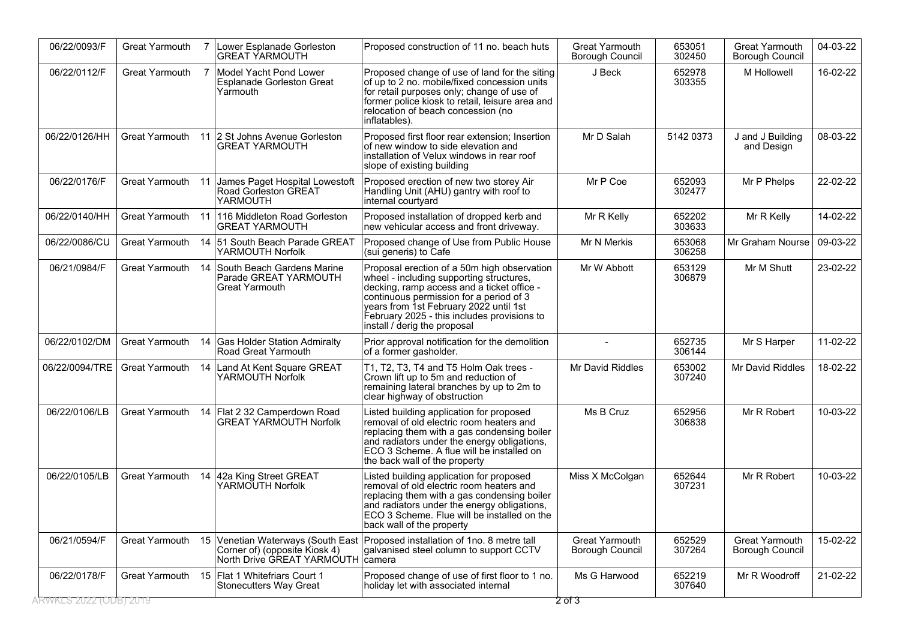| 06/22/0093/F          | <b>Great Yarmouth</b> | $\overline{7}$ | Lower Esplanade Gorleston<br><b>GREAT YARMOUTH</b>                              | Proposed construction of 11 no. beach huts                                                                                                                                                                                                                                                                | <b>Great Yarmouth</b><br><b>Borough Council</b> | 653051<br>302450 | Great Yarmouth<br>Borough Council | 04-03-22 |
|-----------------------|-----------------------|----------------|---------------------------------------------------------------------------------|-----------------------------------------------------------------------------------------------------------------------------------------------------------------------------------------------------------------------------------------------------------------------------------------------------------|-------------------------------------------------|------------------|-----------------------------------|----------|
| 06/22/0112/F          | Great Yarmouth        |                | 7 Model Yacht Pond Lower<br>Esplanade Gorleston Great<br>Yarmouth               | Proposed change of use of land for the siting<br>of up to 2 no. mobile/fixed concession units<br>for retail purposes only; change of use of<br>former police kiosk to retail, leisure area and<br>relocation of beach concession (no<br>inflatables).                                                     | J Beck                                          | 652978<br>303355 | M Hollowell                       | 16-02-22 |
| 06/22/0126/HH         | Great Yarmouth        |                | 11 2 St Johns Avenue Gorleston<br><b>GREAT YARMOUTH</b>                         | Proposed first floor rear extension; Insertion<br>of new window to side elevation and<br>installation of Velux windows in rear roof<br>slope of existing building                                                                                                                                         | Mr D Salah                                      | 5142 0373        | J and J Building<br>and Design    | 08-03-22 |
| 06/22/0176/F          | <b>Great Yarmouth</b> | 11             | James Paget Hospital Lowestoft<br>Road Gorleston GREAT<br>YARMOUTH              | Proposed erection of new two storey Air<br>Handling Unit (AHU) gantry with roof to<br>internal courtyard                                                                                                                                                                                                  | Mr P Coe                                        | 652093<br>302477 | Mr P Phelps                       | 22-02-22 |
| 06/22/0140/HH         | Great Yarmouth        |                | 11   116 Middleton Road Gorleston<br><b>GREAT YARMOUTH</b>                      | Proposed installation of dropped kerb and<br>new vehicular access and front driveway.                                                                                                                                                                                                                     | Mr R Kelly                                      | 652202<br>303633 | Mr R Kelly                        | 14-02-22 |
| 06/22/0086/CU         | Great Yarmouth        |                | 14 51 South Beach Parade GREAT<br>YARMOUTH Norfolk                              | Proposed change of Use from Public House<br>(sui generis) to Cafe                                                                                                                                                                                                                                         | Mr N Merkis                                     | 653068<br>306258 | Mr Graham Nourse                  | 09-03-22 |
| 06/21/0984/F          | Great Yarmouth        |                | 14 South Beach Gardens Marine<br>Parade GREAT YARMOUTH<br><b>Great Yarmouth</b> | Proposal erection of a 50m high observation<br>wheel - including supporting structures,<br>decking, ramp access and a ticket office -<br>continuous permission for a period of 3<br>years from 1st February 2022 until 1st<br>February 2025 - this includes provisions to<br>install / derig the proposal | Mr W Abbott                                     | 653129<br>306879 | Mr M Shutt                        | 23-02-22 |
| 06/22/0102/DM         | Great Yarmouth        |                | 14 Gas Holder Station Admiralty<br>Road Great Yarmouth                          | Prior approval notification for the demolition<br>of a former gasholder.                                                                                                                                                                                                                                  |                                                 | 652735<br>306144 | Mr S Harper                       | 11-02-22 |
| 06/22/0094/TRE        | <b>Great Yarmouth</b> |                | 14 Land At Kent Square GREAT<br>YARMOUTH Norfolk                                | T1, T2, T3, T4 and T5 Holm Oak trees -<br>Crown lift up to 5m and reduction of<br>remaining lateral branches by up to 2m to<br>clear highway of obstruction                                                                                                                                               | Mr David Riddles                                | 653002<br>307240 | Mr David Riddles                  | 18-02-22 |
| 06/22/0106/LB         | Great Yarmouth        |                | 14 Flat 2 32 Camperdown Road<br><b>GREAT YARMOUTH Norfolk</b>                   | Listed building application for proposed<br>removal of old electric room heaters and<br>replacing them with a gas condensing boiler<br>and radiators under the energy obligations,<br>ECO 3 Scheme. A flue will be installed on<br>the back wall of the property                                          | Ms B Cruz                                       | 652956<br>306838 | Mr R Robert                       | 10-03-22 |
| 06/22/0105/LB         | Great Yarmouth        |                | 14 42a King Street GREAT<br>YARMOUTH Norfolk                                    | Listed building application for proposed<br>removal of old electric room heaters and<br>replacing them with a gas condensing boiler<br>and radiators under the energy obligations,<br>ECO 3 Scheme. Flue will be installed on the<br>back wall of the property                                            | Miss X McColgan                                 | 652644<br>307231 | Mr R Robert                       | 10-03-22 |
| 06/21/0594/F          | Great Yarmouth        |                | Corner of) (opposite Kiosk 4)<br>North Drive GREAT YARMOUTH                     | 15 Venetian Waterways (South East Proposed installation of 1no. 8 metre tall<br>galvanised steel column to support CCTV<br>camera                                                                                                                                                                         | Great Yarmouth<br><b>Borough Council</b>        | 652529<br>307264 | Great Yarmouth<br>Borough Council | 15-02-22 |
| 06/22/0178/F          |                       |                | Great Yarmouth 15 Flat 1 Whitefriars Court 1<br><b>Stonecutters Way Great</b>   | Proposed change of use of first floor to 1 no.<br>holiday let with associated internal                                                                                                                                                                                                                    | Ms G Harwood                                    | 652219<br>307640 | Mr R Woodroff                     | 21-02-22 |
| RWKES 2022 (ODB) 2019 |                       |                |                                                                                 |                                                                                                                                                                                                                                                                                                           | 2 of 3                                          |                  |                                   |          |